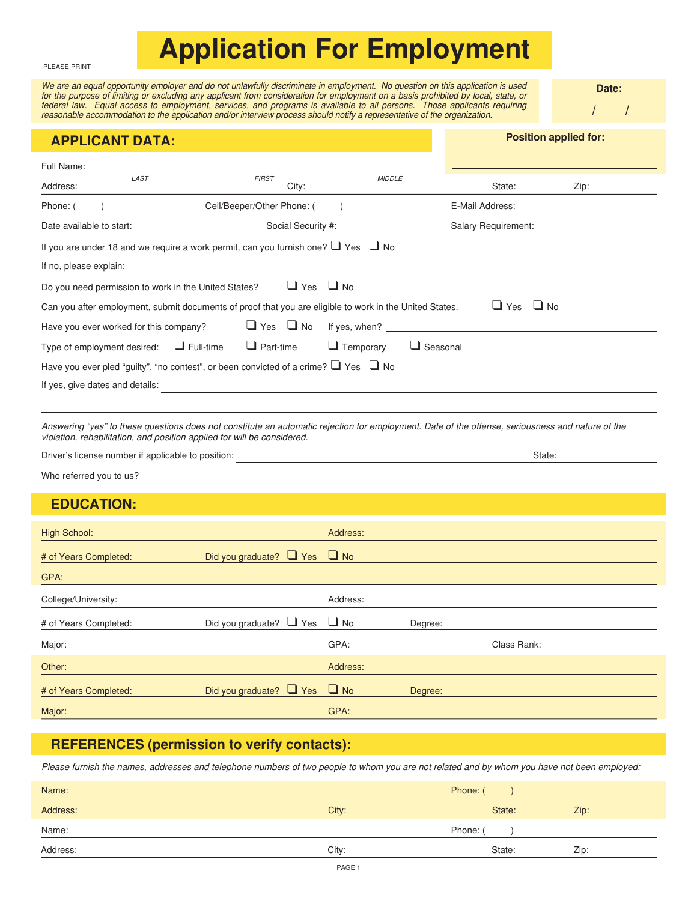## **Application For Employment**

PLEASE PRINT

We are an equal opportunity employer and do not unlawfully discriminate in employment. No question on this application is used for the purpose of limiting or excluding any applicant from consideration for employment on a basis prohibited by local, state, or federal law. Equal access to employment, services, and programs is available to all persons. Those applicants requiring reasonable accommodation to the application and/or interview process should notify a representative of the organization.

**Date:**

| $\sqrt{\phantom{a}}$ | $\sqrt{2}$ |  |
|----------------------|------------|--|
|                      |            |  |

| Full Name:<br>LAST<br><b>FIRST</b><br><b>MIDDLE</b><br>City:<br>State:<br>Address:<br>Zip:<br>Cell/Beeper/Other Phone: (<br>E-Mail Address:<br>Phone: (<br>Date available to start:<br>Social Security #:<br>Salary Requirement:<br>If you are under 18 and we require a work permit, can you furnish one? $\Box$ Yes $\Box$ No<br>If no, please explain:<br>$\Box$ Yes $\Box$ No<br>Do you need permission to work in the United States?<br>$\Box$ Yes<br>$\Box$ No<br>Can you after employment, submit documents of proof that you are eligible to work in the United States.<br>$\Box$ Yes $\Box$ No<br>Have you ever worked for this company?<br>If yes, when? The contract of the contract of the contract of the contract of the contract of the contract of the contract of the contract of the contract of the contract of the contract of the contract of the contract of<br>$\Box$ Seasonal<br>$\Box$ Full-time<br>$\Box$ Part-time<br>$\Box$ Temporary<br>Type of employment desired:<br>Have you ever pled "guilty", "no contest", or been convicted of a crime? $\Box$ Yes $\Box$ No<br>If yes, give dates and details:<br>Answering "yes" to these questions does not constitute an automatic rejection for employment. Date of the offense, seriousness and nature of the<br>violation, rehabilitation, and position applied for will be considered.<br>State:<br>Who referred you to us?<br><u> 1980 - Johann Barn, amerikansk politiker (d. 1980)</u><br><b>EDUCATION:</b> | <b>APPLICANT DATA:</b>          | <b>Position applied for:</b> |  |  |  |  |  |
|---------------------------------------------------------------------------------------------------------------------------------------------------------------------------------------------------------------------------------------------------------------------------------------------------------------------------------------------------------------------------------------------------------------------------------------------------------------------------------------------------------------------------------------------------------------------------------------------------------------------------------------------------------------------------------------------------------------------------------------------------------------------------------------------------------------------------------------------------------------------------------------------------------------------------------------------------------------------------------------------------------------------------------------------------------------------------------------------------------------------------------------------------------------------------------------------------------------------------------------------------------------------------------------------------------------------------------------------------------------------------------------------------------------------------------------------------------------------------------------------|---------------------------------|------------------------------|--|--|--|--|--|
|                                                                                                                                                                                                                                                                                                                                                                                                                                                                                                                                                                                                                                                                                                                                                                                                                                                                                                                                                                                                                                                                                                                                                                                                                                                                                                                                                                                                                                                                                             |                                 |                              |  |  |  |  |  |
|                                                                                                                                                                                                                                                                                                                                                                                                                                                                                                                                                                                                                                                                                                                                                                                                                                                                                                                                                                                                                                                                                                                                                                                                                                                                                                                                                                                                                                                                                             |                                 |                              |  |  |  |  |  |
|                                                                                                                                                                                                                                                                                                                                                                                                                                                                                                                                                                                                                                                                                                                                                                                                                                                                                                                                                                                                                                                                                                                                                                                                                                                                                                                                                                                                                                                                                             |                                 |                              |  |  |  |  |  |
|                                                                                                                                                                                                                                                                                                                                                                                                                                                                                                                                                                                                                                                                                                                                                                                                                                                                                                                                                                                                                                                                                                                                                                                                                                                                                                                                                                                                                                                                                             |                                 |                              |  |  |  |  |  |
|                                                                                                                                                                                                                                                                                                                                                                                                                                                                                                                                                                                                                                                                                                                                                                                                                                                                                                                                                                                                                                                                                                                                                                                                                                                                                                                                                                                                                                                                                             |                                 |                              |  |  |  |  |  |
|                                                                                                                                                                                                                                                                                                                                                                                                                                                                                                                                                                                                                                                                                                                                                                                                                                                                                                                                                                                                                                                                                                                                                                                                                                                                                                                                                                                                                                                                                             |                                 |                              |  |  |  |  |  |
|                                                                                                                                                                                                                                                                                                                                                                                                                                                                                                                                                                                                                                                                                                                                                                                                                                                                                                                                                                                                                                                                                                                                                                                                                                                                                                                                                                                                                                                                                             |                                 |                              |  |  |  |  |  |
|                                                                                                                                                                                                                                                                                                                                                                                                                                                                                                                                                                                                                                                                                                                                                                                                                                                                                                                                                                                                                                                                                                                                                                                                                                                                                                                                                                                                                                                                                             |                                 |                              |  |  |  |  |  |
|                                                                                                                                                                                                                                                                                                                                                                                                                                                                                                                                                                                                                                                                                                                                                                                                                                                                                                                                                                                                                                                                                                                                                                                                                                                                                                                                                                                                                                                                                             |                                 |                              |  |  |  |  |  |
|                                                                                                                                                                                                                                                                                                                                                                                                                                                                                                                                                                                                                                                                                                                                                                                                                                                                                                                                                                                                                                                                                                                                                                                                                                                                                                                                                                                                                                                                                             |                                 |                              |  |  |  |  |  |
|                                                                                                                                                                                                                                                                                                                                                                                                                                                                                                                                                                                                                                                                                                                                                                                                                                                                                                                                                                                                                                                                                                                                                                                                                                                                                                                                                                                                                                                                                             |                                 |                              |  |  |  |  |  |
|                                                                                                                                                                                                                                                                                                                                                                                                                                                                                                                                                                                                                                                                                                                                                                                                                                                                                                                                                                                                                                                                                                                                                                                                                                                                                                                                                                                                                                                                                             |                                 |                              |  |  |  |  |  |
|                                                                                                                                                                                                                                                                                                                                                                                                                                                                                                                                                                                                                                                                                                                                                                                                                                                                                                                                                                                                                                                                                                                                                                                                                                                                                                                                                                                                                                                                                             |                                 |                              |  |  |  |  |  |
|                                                                                                                                                                                                                                                                                                                                                                                                                                                                                                                                                                                                                                                                                                                                                                                                                                                                                                                                                                                                                                                                                                                                                                                                                                                                                                                                                                                                                                                                                             |                                 |                              |  |  |  |  |  |
|                                                                                                                                                                                                                                                                                                                                                                                                                                                                                                                                                                                                                                                                                                                                                                                                                                                                                                                                                                                                                                                                                                                                                                                                                                                                                                                                                                                                                                                                                             | <b>High School:</b><br>Address: |                              |  |  |  |  |  |
| Did you graduate? $\Box$ Yes<br>$\Box$ No<br># of Years Completed:                                                                                                                                                                                                                                                                                                                                                                                                                                                                                                                                                                                                                                                                                                                                                                                                                                                                                                                                                                                                                                                                                                                                                                                                                                                                                                                                                                                                                          |                                 |                              |  |  |  |  |  |
| GPA:                                                                                                                                                                                                                                                                                                                                                                                                                                                                                                                                                                                                                                                                                                                                                                                                                                                                                                                                                                                                                                                                                                                                                                                                                                                                                                                                                                                                                                                                                        |                                 |                              |  |  |  |  |  |
| College/University:<br>Address:                                                                                                                                                                                                                                                                                                                                                                                                                                                                                                                                                                                                                                                                                                                                                                                                                                                                                                                                                                                                                                                                                                                                                                                                                                                                                                                                                                                                                                                             |                                 |                              |  |  |  |  |  |
| $\Box$ No<br>Did you graduate? $\Box$ Yes<br># of Years Completed:<br>Degree:                                                                                                                                                                                                                                                                                                                                                                                                                                                                                                                                                                                                                                                                                                                                                                                                                                                                                                                                                                                                                                                                                                                                                                                                                                                                                                                                                                                                               |                                 |                              |  |  |  |  |  |
| GPA:<br>Class Rank:<br>Major:                                                                                                                                                                                                                                                                                                                                                                                                                                                                                                                                                                                                                                                                                                                                                                                                                                                                                                                                                                                                                                                                                                                                                                                                                                                                                                                                                                                                                                                               |                                 |                              |  |  |  |  |  |
| Address:<br>Other:                                                                                                                                                                                                                                                                                                                                                                                                                                                                                                                                                                                                                                                                                                                                                                                                                                                                                                                                                                                                                                                                                                                                                                                                                                                                                                                                                                                                                                                                          |                                 |                              |  |  |  |  |  |
| $\Box$ No<br>Did you graduate? $\Box$ Yes<br># of Years Completed:<br>Degree:                                                                                                                                                                                                                                                                                                                                                                                                                                                                                                                                                                                                                                                                                                                                                                                                                                                                                                                                                                                                                                                                                                                                                                                                                                                                                                                                                                                                               |                                 |                              |  |  |  |  |  |
| GPA:<br>Major:                                                                                                                                                                                                                                                                                                                                                                                                                                                                                                                                                                                                                                                                                                                                                                                                                                                                                                                                                                                                                                                                                                                                                                                                                                                                                                                                                                                                                                                                              |                                 |                              |  |  |  |  |  |

## **REFERENCES (permission to verify contacts):**

Please furnish the names, addresses and telephone numbers of two people to whom you are not related and by whom you have not been employed:

| Name:    |       | Phone: ( |      |
|----------|-------|----------|------|
| Address: | City: | State:   | Zip: |
| Name:    |       | Phone: ( |      |
| Address: | City: | State:   | Zip: |